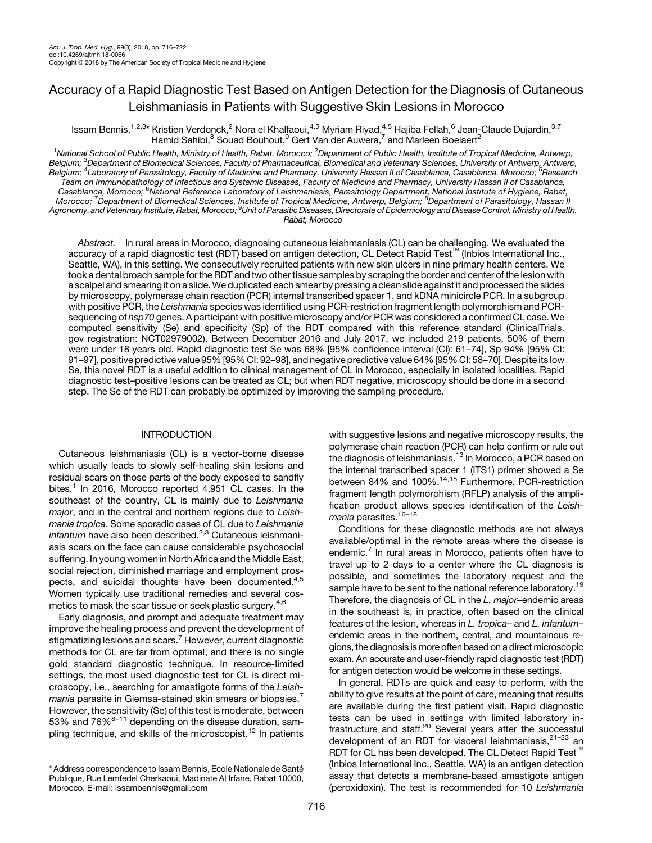# Accuracy of a Rapid Diagnostic Test Based on Antigen Detection for the Diagnosis of Cutaneous Leishmaniasis in Patients with Suggestive Skin Lesions in Morocco

Issam Bennis,<sup>1,2,3</sup>\* Kristien Verdonck,<sup>2</sup> Nora el Khalfaoui,<sup>4,5</sup> Myriam Riyad,<sup>4,5</sup> Hajiba Fellah,<sup>6</sup> Jean-Claude Dujardin,<sup>3,7</sup> Hamid Sahibi, $^8$  Souad Bouhout, $^9$  Gert Van der Auwera, $^7$  and Marleen Boelaert $^2$ 

<sup>1</sup>National School of Public Health, Ministry of Health, Rabat, Morocco; <sup>2</sup>Department of Public Health, Institute of Tropical Medicine, Antwerp, Belgium; <sup>3</sup>Department of Biomedical Sciences, Faculty of Pharmaceutical, Biomedical and Veterinary Sciences, University of Antwerp, Antwerp, Belgium; <sup>4</sup>Laboratory of Parasitology, Faculty of Medicine and Pharmacy, University Hassan II of Casablanca, Casablanca, Morocco; <sup>5</sup>Research Team on Immunopathology of Infectious and Systemic Diseases, Faculty of Medicine and Pharmacy, University Hassan II of Casablanca, Casablanca, Morocco; <sup>6</sup> National Reference Laboratory of Leishmaniasis, Parasitology Department, National Institute of Hygiene, Rabat, Morocco; <sup>7</sup>Department of Biomedical Sciences, Institute of Tropical Medicine, Antwerp, Belgium; <sup>8</sup>Department of Parasitology, Hassan II Agronomy, and Veterinary Institute, Rabat, Morocco; <sup>9</sup>Unit of Parasitic Diseases, Directorate of Epidemiology and Disease Control, Ministry of Health, Rabat, Morocco

Abstract. In rural areas in Morocco, diagnosing cutaneous leishmaniasis (CL) can be challenging. We evaluated the accuracy of a rapid diagnostic test (RDT) based on antigen detection, CL Detect Rapid Test™ (Inbios International Inc., Seattle, WA), in this setting. We consecutively recruited patients with new skin ulcers in nine primary health centers. We took a dental broach sample for the RDT and two other tissue samples by scraping the border and center of the lesion with a scalpel and smearing it on a slide.We duplicated each smear by pressing a clean slide against it and processed the slides by microscopy, polymerase chain reaction (PCR) internal transcribed spacer 1, and kDNA minicircle PCR. In a subgroup with positive PCR, the Leishmania species was identified using PCR-restriction fragment length polymorphism and PCRsequencing of hsp70 genes. A participant with positive microscopy and/or PCR was considered a confirmed CL case. We computed sensitivity (Se) and specificity (Sp) of the RDT compared with this reference standard ([ClinicalTrials.](http://ClinicalTrials.gov) [gov](http://ClinicalTrials.gov) registration: NCT02979002). Between December 2016 and July 2017, we included 219 patients, 50% of them were under 18 years old. Rapid diagnostic test Se was 68% [95% confidence interval (CI): 61–74], Sp 94% [95% CI: 91–97], positive predictive value 95% [95% CI: 92–98], and negative predictive value 64% [95% CI: 58–70]. Despite its low Se, this novel RDT is a useful addition to clinical management of CL in Morocco, especially in isolated localities. Rapid diagnostic test–positive lesions can be treated as CL; but when RDT negative, microscopy should be done in a second step. The Se of the RDT can probably be optimized by improving the sampling procedure.

### INTRODUCTION

Cutaneous leishmaniasis (CL) is a vector-borne disease which usually leads to slowly self-healing skin lesions and residual scars on those parts of the body exposed to sandfly bites.<sup>[1](#page-5-0)</sup> In 2016, Morocco reported 4,951 CL cases. In the southeast of the country, CL is mainly due to Leishmania major, and in the central and northern regions due to Leishmania tropica. Some sporadic cases of CL due to Leishmania  $in$ fantum have also been described. $2,3$  Cutaneous leishmaniasis scars on the face can cause considerable psychosocial suffering. In young women in North Africa and the Middle East, social rejection, diminished marriage and employment pros-pects, and suicidal thoughts have been documented.<sup>[4,5](#page-5-0)</sup> Women typically use traditional remedies and several cos-metics to mask the scar tissue or seek plastic surgery.<sup>[4](#page-5-0),[6](#page-5-0)</sup>

Early diagnosis, and prompt and adequate treatment may improve the healing process and prevent the development of stigmatizing lesions and scars.<sup>[7](#page-5-0)</sup> However, current diagnostic methods for CL are far from optimal, and there is no single gold standard diagnostic technique. In resource-limited settings, the most used diagnostic test for CL is direct microscopy, i.e., searching for amastigote forms of the Leishmania parasite in Giemsa-stained skin smears or biopsies. However, the sensitivity (Se) of this test is moderate, between 53% and  $76\%^{8-11}$  $76\%^{8-11}$  $76\%^{8-11}$  $76\%^{8-11}$  $76\%^{8-11}$  depending on the disease duration, sam-pling technique, and skills of the microscopist.<sup>[12](#page-6-0)</sup> In patients

with suggestive lesions and negative microscopy results, the polymerase chain reaction (PCR) can help confirm or rule out the diagnosis of leishmaniasis.<sup>[13](#page-6-0)</sup> In Morocco, a PCR based on the internal transcribed spacer 1 (ITS1) primer showed a Se between 84% and 100%.[14,15](#page-6-0) Furthermore, PCR-restriction fragment length polymorphism (RFLP) analysis of the amplification product allows species identification of the Leish-mania parasites.<sup>[16](#page-6-0)-[18](#page-6-0)</sup>

Conditions for these diagnostic methods are not always available/optimal in the remote areas where the disease is endemic.<sup>[7](#page-5-0)</sup> In rural areas in Morocco, patients often have to travel up to 2 days to a center where the CL diagnosis is possible, and sometimes the laboratory request and the sample have to be sent to the national reference laboratory.<sup>[19](#page-6-0)</sup> Therefore, the diagnosis of CL in the L. major–endemic areas in the southeast is, in practice, often based on the clinical features of the lesion, whereas in L. tropica- and L. infantumendemic areas in the northern, central, and mountainous regions, the diagnosis is more often based on a direct microscopic exam. An accurate and user-friendly rapid diagnostic test (RDT) for antigen detection would be welcome in these settings.

In general, RDTs are quick and easy to perform, with the ability to give results at the point of care, meaning that results are available during the first patient visit. Rapid diagnostic tests can be used in settings with limited laboratory infrastructure and staff[.20](#page-6-0) Several years after the successful development of an RDT for visceral leishmaniasis,<sup>[21](#page-6-0)-[23](#page-6-0)</sup> an RDT for CL has been developed. The CL Detect Rapid Test<sup>™</sup> (Inbios International Inc., Seattle, WA) is an antigen detection assay that detects a membrane-based amastigote antigen (peroxidoxin). The test is recommended for 10 Leishmania

<sup>\*</sup> Address correspondence to Issam Bennis, Ecole Nationale de Santé Publique, Rue Lemfedel Cherkaoui, Madinate Al Irfane, Rabat 10000, Morocco. E-mail: [issambennis@gmail.com](mailto:issambennis@gmail.com)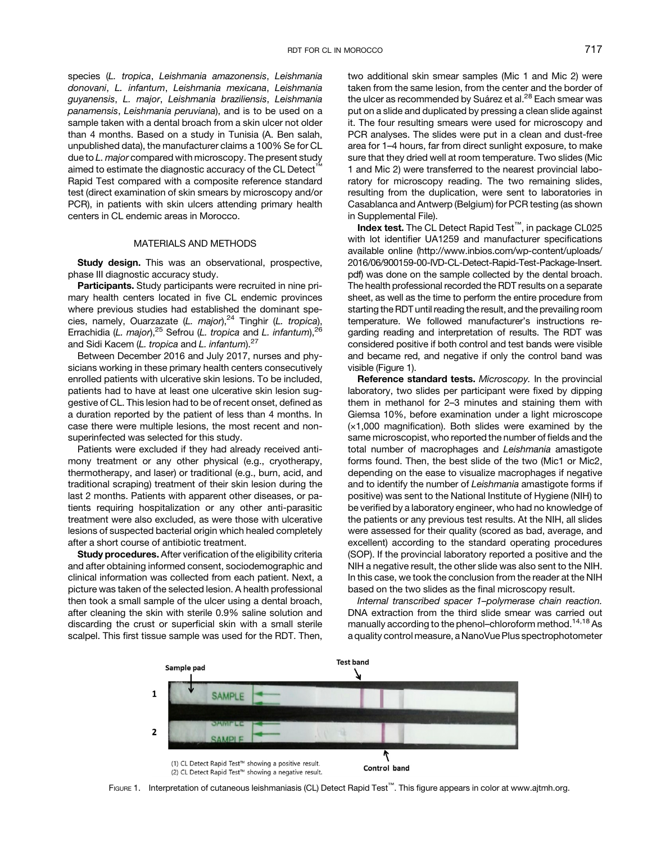species (L. tropica, Leishmania amazonensis, Leishmania donovani, L. infantum, Leishmania mexicana, Leishmania guyanensis, L. major, Leishmania braziliensis, Leishmania panamensis, Leishmania peruviana), and is to be used on a sample taken with a dental broach from a skin ulcer not older than 4 months. Based on a study in Tunisia (A. Ben salah, unpublished data), the manufacturer claims a 100% Se for CL due to L. major compared with microscopy. The present study aimed to estimate the diagnostic accuracy of the CL Detect Rapid Test compared with a composite reference standard test (direct examination of skin smears by microscopy and/or PCR), in patients with skin ulcers attending primary health centers in CL endemic areas in Morocco.

### MATERIALS AND METHODS

Study design. This was an observational, prospective, phase III diagnostic accuracy study.

Participants. Study participants were recruited in nine primary health centers located in five CL endemic provinces where previous studies had established the dominant species, namely, Ouarzazate (L. major), $24$  Tinghir (L. tropica), Errachidia (L. major),<sup>[25](#page-6-0)</sup> Sefrou (L. tropica and L. infantum),<sup>26</sup> and Sidi Kacem (L. tropica and L. infantum). $27$ 

Between December 2016 and July 2017, nurses and physicians working in these primary health centers consecutively enrolled patients with ulcerative skin lesions. To be included, patients had to have at least one ulcerative skin lesion suggestive of CL. This lesion had to be of recent onset, defined as a duration reported by the patient of less than 4 months. In case there were multiple lesions, the most recent and nonsuperinfected was selected for this study.

Patients were excluded if they had already received antimony treatment or any other physical (e.g., cryotherapy, thermotherapy, and laser) or traditional (e.g., burn, acid, and traditional scraping) treatment of their skin lesion during the last 2 months. Patients with apparent other diseases, or patients requiring hospitalization or any other anti-parasitic treatment were also excluded, as were those with ulcerative lesions of suspected bacterial origin which healed completely after a short course of antibiotic treatment.

Study procedures. After verification of the eligibility criteria and after obtaining informed consent, sociodemographic and clinical information was collected from each patient. Next, a picture was taken of the selected lesion. A health professional then took a small sample of the ulcer using a dental broach, after cleaning the skin with sterile 0.9% saline solution and discarding the crust or superficial skin with a small sterile scalpel. This first tissue sample was used for the RDT. Then, two additional skin smear samples (Mic 1 and Mic 2) were taken from the same lesion, from the center and the border of the ulcer as recommended by Suárez et al.<sup>28</sup> Each smear was put on a slide and duplicated by pressing a clean slide against it. The four resulting smears were used for microscopy and PCR analyses. The slides were put in a clean and dust-free area for 1–4 hours, far from direct sunlight exposure, to make sure that they dried well at room temperature. Two slides (Mic 1 and Mic 2) were transferred to the nearest provincial laboratory for microscopy reading. The two remaining slides, resulting from the duplication, were sent to laboratories in Casablanca and Antwerp (Belgium) for PCR testing (as shown in [Supplemental File\)](http://astmhqa.ingenta.com/content/journals/10.4269/ajtmh.18-0066#supplementary_data).

Index test. The CL Detect Rapid Test™, in package CL025 with lot identifier UA1259 and manufacturer specifications available online ([http://www.inbios.com/wp-content/uploads/](http://www.inbios.com/wp-content/uploads/2016/06/900159-00-IVD-CL-Detect-Rapid-Test-Package-Insert.pdf) [2016/06/900159-00-IVD-CL-Detect-Rapid-Test-Package-Insert.](http://www.inbios.com/wp-content/uploads/2016/06/900159-00-IVD-CL-Detect-Rapid-Test-Package-Insert.pdf) [pdf](http://www.inbios.com/wp-content/uploads/2016/06/900159-00-IVD-CL-Detect-Rapid-Test-Package-Insert.pdf)) was done on the sample collected by the dental broach. The health professional recorded the RDT results on a separate sheet, as well as the time to perform the entire procedure from starting the RDT until reading the result, and the prevailing room temperature. We followed manufacturer's instructions regarding reading and interpretation of results. The RDT was considered positive if both control and test bands were visible and became red, and negative if only the control band was visible (Figure 1).

Reference standard tests. Microscopy. In the provincial laboratory, two slides per participant were fixed by dipping them in methanol for 2–3 minutes and staining them with Giemsa 10%, before examination under a light microscope (×1,000 magnification). Both slides were examined by the same microscopist, who reported the number of fields and the total number of macrophages and Leishmania amastigote forms found. Then, the best slide of the two (Mic1 or Mic2, depending on the ease to visualize macrophages if negative and to identify the number of Leishmania amastigote forms if positive) was sent to the National Institute of Hygiene (NIH) to be verified by a laboratory engineer, who had no knowledge of the patients or any previous test results. At the NIH, all slides were assessed for their quality (scored as bad, average, and excellent) according to the standard operating procedures (SOP). If the provincial laboratory reported a positive and the NIH a negative result, the other slide was also sent to the NIH. In this case, we took the conclusion from the reader at the NIH based on the two slides as the final microscopy result.

Internal transcribed spacer 1–polymerase chain reaction. DNA extraction from the third slide smear was carried out manually according to the phenol-chloroform method.<sup>14,18</sup> As a quality control measure, a NanoVue Plus spectrophotometer



FIGURE 1. Interpretation of cutaneous leishmaniasis (CL) Detect Rapid Test™. This figure appears in color at [www.ajtmh.org](http://www.ajtmh.org).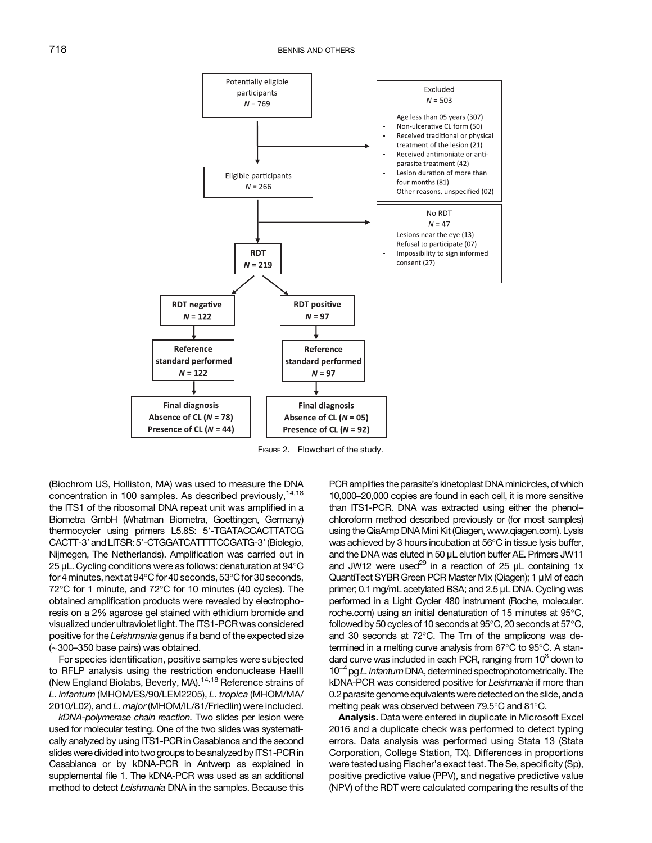<span id="page-2-0"></span>

FIGURE 2. Flowchart of the study.

(Biochrom US, Holliston, MA) was used to measure the DNA concentration in 100 samples. As described previously, [14,18](#page-6-0) the ITS1 of the ribosomal DNA repeat unit was amplified in a Biometra GmbH (Whatman Biometra, Goettingen, Germany) thermocycler using primers L5.8S: 5'-TGATACCACTTATCG CACTT-3' and LITSR: 5'-CTGGATCATTTTCCGATG-3' (Biolegio, Nijmegen, The Netherlands). Amplification was carried out in 25 μL. Cycling conditions were as follows: denaturation at  $94^{\circ}$ C for 4 minutes, next at  $94^{\circ}$ C for 40 seconds,  $53^{\circ}$ C for 30 seconds,  $72^{\circ}$ C for 1 minute, and  $72^{\circ}$ C for 10 minutes (40 cycles). The obtained amplification products were revealed by electrophoresis on a 2% agarose gel stained with ethidium bromide and visualized under ultraviolet light. The ITS1-PCR was considered positive for the Leishmania genus if a band of the expected size (∼300–350 base pairs) was obtained.

For species identification, positive samples were subjected to RFLP analysis using the restriction endonuclease HaeIII (New England Biolabs, Beverly, MA).[14,18](#page-6-0) Reference strains of L. infantum (MHOM/ES/90/LEM2205), L. tropica (MHOM/MA/ 2010/L02), and L. major (MHOM/IL/81/Friedlin) were included.

kDNA-polymerase chain reaction. Two slides per lesion were used for molecular testing. One of the two slides was systematically analyzed by using ITS1-PCR in Casablanca and the second slides were divided into two groups to be analyzed by ITS1-PCR in Casablanca or by kDNA-PCR in Antwerp as explained in [supplemental](http://astmhqa.ingenta.com/content/journals/10.4269/ajtmh.18-0066#supplementary_data) file 1. The kDNA-PCR was used as an additional method to detect Leishmania DNA in the samples. Because this PCR amplifies the parasite's kinetoplast DNA minicircles, of which 10,000–20,000 copies are found in each cell, it is more sensitive than ITS1-PCR. DNA was extracted using either the phenol– chloroform method described previously or (for most samples) using the QiaAmp DNA Mini Kit (Qiagen, [www.qiagen.com](http://www.qiagen.com)). Lysis was achieved by 3 hours incubation at 56°C in tissue lysis buffer, and the DNA was eluted in 50 μL elution buffer AE. Primers JW11 and JW12 were used<sup>[29](#page-6-0)</sup> in a reaction of 25  $\mu$ L containing 1x QuantiTect SYBR Green PCR Master Mix (Qiagen); 1 μM of each primer; 0.1 mg/mL acetylated BSA; and 2.5 μL DNA. Cycling was performed in a Light Cycler 480 instrument (Roche, [molecular.](http://molecular.roche.com) [roche.com](http://molecular.roche.com)) using an initial denaturation of 15 minutes at 95°C, followed by 50 cycles of 10 seconds at  $95^{\circ}$ C, 20 seconds at  $57^{\circ}$ C, and 30 seconds at  $72^{\circ}$ C. The Tm of the amplicons was determined in a melting curve analysis from 67°C to 95°C. A stan-<br>dard curve was included in each PCR, ranging from 10<sup>3</sup> down to<br>10<sup>−4</sup> pg *L. infantum* DNA, determined spectrophotometrically. The dard curve was included in each PCR, ranging from  $10<sup>3</sup>$  down to kDNA-PCR was considered positive for Leishmania if more than 0.2 parasite genome equivalentswere detected on the slide, and a melting peak was observed between  $79.5^{\circ}$ C and  $81^{\circ}$ C.

Analysis. Data were entered in duplicate in Microsoft Excel 2016 and a duplicate check was performed to detect typing errors. Data analysis was performed using Stata 13 (Stata Corporation, College Station, TX). Differences in proportions were tested using Fischer's exact test. The Se, specificity (Sp), positive predictive value (PPV), and negative predictive value (NPV) of the RDT were calculated comparing the results of the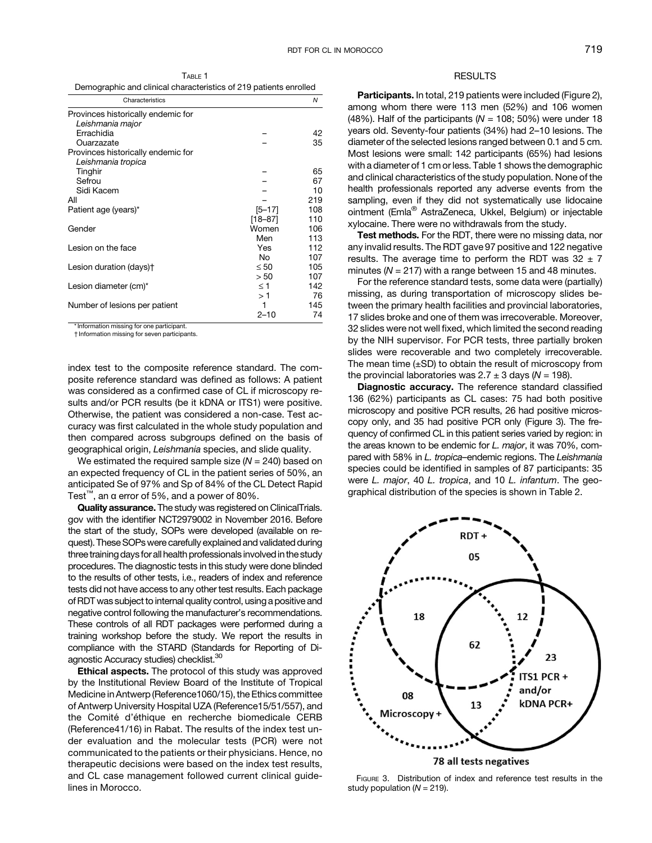TABLE 1 Demographic and clinical characteristics of 219 patients enrolled

| Characteristics                            |             | Ν   |
|--------------------------------------------|-------------|-----|
| Provinces historically endemic for         |             |     |
| Leishmania major                           |             |     |
| Errachidia                                 |             | 42  |
| Ouarzazate                                 |             | 35  |
| Provinces historically endemic for         |             |     |
| Leishmania tropica                         |             |     |
| Tinghir                                    |             | 65  |
| Sefrou                                     |             | 67  |
| Sidi Kacem                                 |             | 10  |
| All                                        |             | 219 |
| Patient age (years)*                       | $[5 - 17]$  | 108 |
|                                            | $[18 - 87]$ | 110 |
| Gender                                     | Women       | 106 |
|                                            | Men         | 113 |
| Lesion on the face                         | Yes         | 112 |
|                                            | No          | 107 |
| Lesion duration (days) <sup>+</sup>        | $\leq 50$   | 105 |
|                                            | > 50        | 107 |
| Lesion diameter (cm)*                      | $\leq 1$    | 142 |
|                                            | >1          | 76  |
| Number of lesions per patient              | 1           | 145 |
|                                            | $2 - 10$    | 74  |
| * Information missing for one participant. |             |     |

† Information missing for seven participants.

index test to the composite reference standard. The composite reference standard was defined as follows: A patient was considered as a confirmed case of CL if microscopy results and/or PCR results (be it kDNA or ITS1) were positive. Otherwise, the patient was considered a non-case. Test accuracy was first calculated in the whole study population and then compared across subgroups defined on the basis of geographical origin, Leishmania species, and slide quality.

We estimated the required sample size  $(N = 240)$  based on an expected frequency of CL in the patient series of 50%, an anticipated Se of 97% and Sp of 84% of the CL Detect Rapid Test<sup>™</sup>, an  $\alpha$  error of 5%, and a power of 80%.

Quality assurance. The study was registered on [ClinicalTrials.](http://ClinicalTrials.gov) [gov](http://ClinicalTrials.gov) with the identifier NCT2979002 in November 2016. Before the start of the study, SOPs were developed (available on request). These SOPs were carefully explained and validated during three training days for all health professionals involved in the study procedures. The diagnostic tests in this study were done blinded to the results of other tests, i.e., readers of index and reference tests did not have access to any other test results. Each package of RDT was subject to internal quality control, using a positive and negative control following the manufacturer's recommendations. These controls of all RDT packages were performed during a training workshop before the study. We report the results in compliance with the STARD (Standards for Reporting of Diagnostic Accuracy studies) checklist.<sup>30</sup>

Ethical aspects. The protocol of this study was approved by the Institutional Review Board of the Institute of Tropical Medicine in Antwerp (Reference1060/15), the Ethics committee of Antwerp University Hospital UZA (Reference15/51/557), and the Comité d'éthique en recherche biomedicale CERB (Reference41/16) in Rabat. The results of the index test under evaluation and the molecular tests (PCR) were not communicated to the patients or their physicians. Hence, no therapeutic decisions were based on the index test results, and CL case management followed current clinical guidelines in Morocco.

## **RESULTS**

Participants. In total, 219 patients were included ([Figure 2](#page-2-0)), among whom there were 113 men (52%) and 106 women (48%). Half of the participants ( $N = 108$ ; 50%) were under 18 years old. Seventy-four patients (34%) had 2–10 lesions. The diameter of the selected lesions ranged between 0.1 and 5 cm. Most lesions were small: 142 participants (65%) had lesions with a diameter of 1 cm or less. Table 1 shows the demographic and clinical characteristics of the study population. None of the health professionals reported any adverse events from the sampling, even if they did not systematically use lidocaine ointment (Emla® AstraZeneca, Ukkel, Belgium) or injectable xylocaine. There were no withdrawals from the study.

Test methods. For the RDT, there were no missing data, nor any invalid results. The RDT gave 97 positive and 122 negative results. The average time to perform the RDT was  $32 \pm 7$ minutes ( $N = 217$ ) with a range between 15 and 48 minutes.

For the reference standard tests, some data were (partially) missing, as during transportation of microscopy slides between the primary health facilities and provincial laboratories, 17 slides broke and one of them was irrecoverable. Moreover, 32 slides were not well fixed, which limited the second reading by the NIH supervisor. For PCR tests, three partially broken slides were recoverable and two completely irrecoverable. The mean time  $(\pm SD)$  to obtain the result of microscopy from the provincial laboratories was  $2.7 \pm 3$  days (N = 198).

Diagnostic accuracy. The reference standard classified 136 (62%) participants as CL cases: 75 had both positive microscopy and positive PCR results, 26 had positive microscopy only, and 35 had positive PCR only (Figure 3). The frequency of confirmed CL in this patient series varied by region: in the areas known to be endemic for L. major, it was 70%, compared with 58% in L. tropica–endemic regions. The Leishmania species could be identified in samples of 87 participants: 35 were L. major, 40 L. tropica, and 10 L. infantum. The geographical distribution of the species is shown in [Table 2.](#page-4-0)



FIGURE 3. Distribution of index and reference test results in the study population ( $N = 219$ ).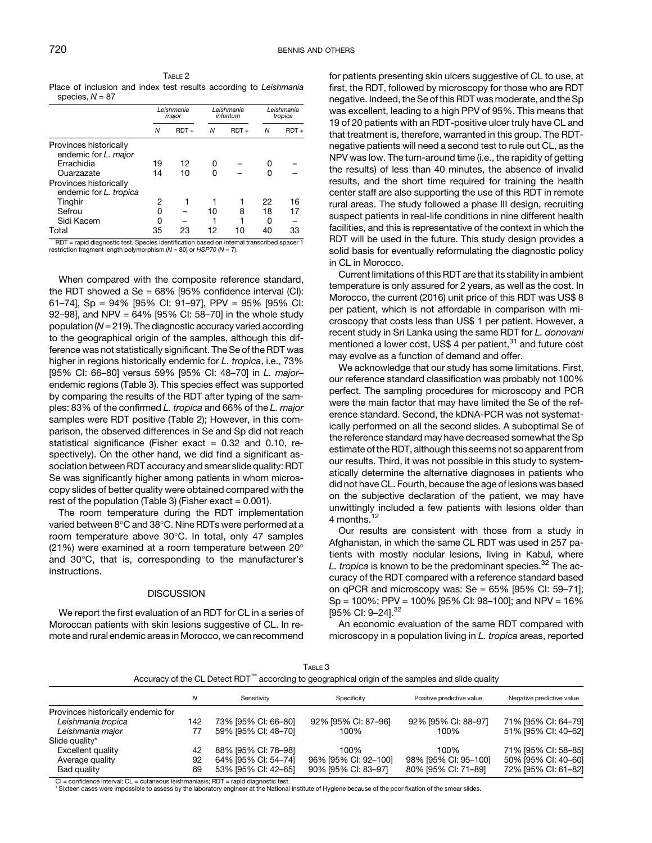$s_{\text{nacl}} \approx N - 87$ 

<span id="page-4-0"></span>TABLE 2 Place of inclusion and index test results according to Leishmania

|                                                                                                     | Leishmania<br>major |         | Leishmania<br>infantum |         | Leishmania<br>tropica |         |
|-----------------------------------------------------------------------------------------------------|---------------------|---------|------------------------|---------|-----------------------|---------|
|                                                                                                     | N                   | $RDT +$ | N                      | $RDT +$ | N                     | $RDT +$ |
| Provinces historically<br>endemic for L. major                                                      |                     |         |                        |         |                       |         |
| Errachidia                                                                                          | 19                  | 12      | Ω                      |         | o                     |         |
| Ouarzazate                                                                                          | 14                  | 10      | n                      |         | n                     |         |
| Provinces historically<br>endemic for L. tropica                                                    |                     |         |                        |         |                       |         |
| Tinghir                                                                                             | 2                   |         |                        |         | 22                    | 16      |
| Sefrou                                                                                              | 0                   |         | 10                     | 8       | 18                    | 17      |
| Sidi Kacem                                                                                          | 0                   |         |                        |         | O                     |         |
| Total<br>RDT = rapid diagnostic test. Species identification based on internal transcribed spacer 1 | 35                  | 23      | 12                     | 10      | 40                    | 33      |

restriction fragment length polymorphism  $(N = 80)$  or HSP70  $(N = 7)$ .

When compared with the composite reference standard, the RDT showed a Se =  $68\%$  [95% confidence interval (CI): 61–74], Sp = 94% [95% CI: 91–97], PPV = 95% [95% CI: 92–98], and NPV = 64% [95% CI: 58–70] in the whole study population ( $N = 219$ ). The diagnostic accuracy varied according to the geographical origin of the samples, although this difference was not statistically significant. The Se of the RDT was higher in regions historically endemic for L. tropica, i.e., 73% [95% CI: 66–80] versus 59% [95% CI: 48–70] in L. major– endemic regions (Table 3). This species effect was supported by comparing the results of the RDT after typing of the samples: 83% of the confirmed L. tropica and 66% of the L. major samples were RDT positive (Table 2); However, in this comparison, the observed differences in Se and Sp did not reach statistical significance (Fisher exact  $= 0.32$  and 0.10, respectively). On the other hand, we did find a significant association between RDT accuracy and smear slide quality: RDT Se was significantly higher among patients in whom microscopy slides of better quality were obtained compared with the rest of the population (Table 3) (Fisher exact  $= 0.001$ ).

The room temperature during the RDT implementation varied between 8°C and 38°C. Nine RDTs were performed at a room temperature above  $30^{\circ}$ C. In total, only 47 samples (21%) were examined at a room temperature between  $20^{\circ}$ and  $30^{\circ}$ C, that is, corresponding to the manufacturer's instructions.

### **DISCUSSION**

We report the first evaluation of an RDT for CL in a series of Moroccan patients with skin lesions suggestive of CL. In remote and rural endemic areas in Morocco, we can recommend

for patients presenting skin ulcers suggestive of CL to use, at first, the RDT, followed by microscopy for those who are RDT negative. Indeed, the Se of this RDT was moderate, and the Sp was excellent, leading to a high PPV of 95%. This means that 19 of 20 patients with an RDT-positive ulcer truly have CL and that treatment is, therefore, warranted in this group. The RDTnegative patients will need a second test to rule out CL, as the NPV was low. The turn-around time (i.e., the rapidity of getting the results) of less than 40 minutes, the absence of invalid results, and the short time required for training the health center staff are also supporting the use of this RDT in remote rural areas. The study followed a phase III design, recruiting suspect patients in real-life conditions in nine different health facilities, and this is representative of the context in which the RDT will be used in the future. This study design provides a solid basis for eventually reformulating the diagnostic policy in CL in Morocco.

Current limitations of this RDT are that its stability in ambient temperature is only assured for 2 years, as well as the cost. In Morocco, the current (2016) unit price of this RDT was US\$ 8 per patient, which is not affordable in comparison with microscopy that costs less than US\$ 1 per patient. However, a recent study in Sri Lanka using the same RDT for L. donovani mentioned a lower cost, US\$ 4 per patient, $31$  and future cost may evolve as a function of demand and offer.

We acknowledge that our study has some limitations. First, our reference standard classification was probably not 100% perfect. The sampling procedures for microscopy and PCR were the main factor that may have limited the Se of the reference standard. Second, the kDNA-PCR was not systematically performed on all the second slides. A suboptimal Se of the reference standard may have decreased somewhat the Sp estimate of the RDT, although this seems not so apparent from our results. Third, it was not possible in this study to systematically determine the alternative diagnoses in patients who did not have CL. Fourth, because the age of lesions was based on the subjective declaration of the patient, we may have unwittingly included a few patients with lesions older than 4 months.<sup>[12](#page-6-0)</sup>

Our results are consistent with those from a study in Afghanistan, in which the same CL RDT was used in 257 patients with mostly nodular lesions, living in Kabul, where L. tropica is known to be the predominant species. $32$  The accuracy of the RDT compared with a reference standard based on qPCR and microscopy was:  $Se = 65\%$  [95% CI: 59-71];  $Sp = 100\%$ ; PPV = 100% [95% CI: 98–100]; and NPV = 16% [95% CI: 9–24].[32](#page-6-0)

An economic evaluation of the same RDT compared with microscopy in a population living in L. tropica areas, reported

| Table 3                                                                                          |
|--------------------------------------------------------------------------------------------------|
| Accuracy of the CL Detect RDT™ according to geographical origin of the samples and slide quality |

|                                    | N   | Sensitivity         | Specificity          | Positive predictive value | Negative predictive value |
|------------------------------------|-----|---------------------|----------------------|---------------------------|---------------------------|
| Provinces historically endemic for |     |                     |                      |                           |                           |
| Leishmania tropica                 | 142 | 73% [95% CI: 66-80] | 92% [95% CI: 87-96]  | 92% [95% CI: 88-97]       | 71% [95% CI: 64-79]       |
| Leishmania major                   | 77  | 59% [95% CI: 48-70] | 100%                 | 100%                      | 51% [95% CI: 40-62]       |
| Slide quality*                     |     |                     |                      |                           |                           |
| Excellent quality                  | 42  | 88% [95% CI: 78-98] | 100%                 | 100%                      | 71% [95% CI: 58-85]       |
| Average quality                    | 92  | 64% [95% CI: 54-74] | 96% [95% CI: 92-100] | 98% [95% CI: 95-100]      | 50% [95% CI: 40-60]       |
| Bad quality                        | 69  | 53% [95% CI: 42-65] | 90% [95% CI: 83-97]  | 80% [95% CI: 71-89]       | 72% [95% CI: 61-82]       |

 $=$  confidence interval; CL  $=$  cutaneous leishmaniasis; RDT  $=$  rapid diagnostic test.

\* Sixteen cases were impossible to assess by the laboratory engineer at the National Institute of Hygiene because of the poor fixation of the smear slides.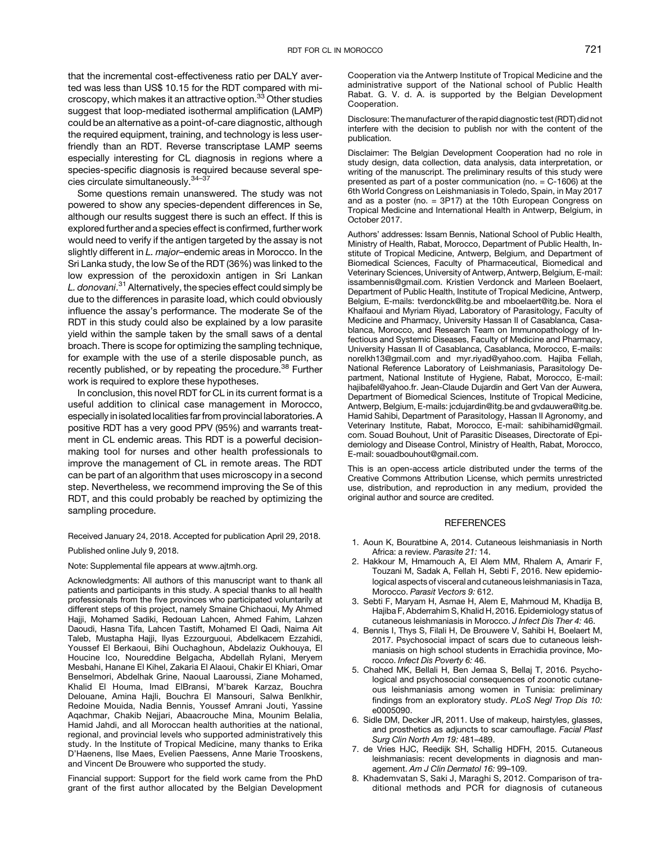<span id="page-5-0"></span>that the incremental cost-effectiveness ratio per DALY averted was less than US\$ 10.15 for the RDT compared with mi-croscopy, which makes it an attractive option.<sup>[33](#page-6-0)</sup> Other studies suggest that loop-mediated isothermal amplification (LAMP) could be an alternative as a point-of-care diagnostic, although the required equipment, training, and technology is less userfriendly than an RDT. Reverse transcriptase LAMP seems especially interesting for CL diagnosis in regions where a species-specific diagnosis is required because several spe-cies circulate simultaneously.<sup>[34](#page-6-0)-[37](#page-6-0)</sup>

Some questions remain unanswered. The study was not powered to show any species-dependent differences in Se, although our results suggest there is such an effect. If this is explored further and a species effect is confirmed, further work would need to verify if the antigen targeted by the assay is not slightly different in L. major-endemic areas in Morocco. In the Sri Lanka study, the low Se of the RDT (36%) was linked to the low expression of the peroxidoxin antigen in Sri Lankan L. donovani.<sup>[31](#page-6-0)</sup> Alternatively, the species effect could simply be due to the differences in parasite load, which could obviously influence the assay's performance. The moderate Se of the RDT in this study could also be explained by a low parasite yield within the sample taken by the small saws of a dental broach. There is scope for optimizing the sampling technique, for example with the use of a sterile disposable punch, as recently published, or by repeating the procedure.<sup>[38](#page-6-0)</sup> Further work is required to explore these hypotheses.

In conclusion, this novel RDT for CL in its current format is a useful addition to clinical case management in Morocco, especially in isolated localities far from provincial laboratories. A positive RDT has a very good PPV (95%) and warrants treatment in CL endemic areas. This RDT is a powerful decisionmaking tool for nurses and other health professionals to improve the management of CL in remote areas. The RDT can be part of an algorithm that uses microscopy in a second step. Nevertheless, we recommend improving the Se of this RDT, and this could probably be reached by optimizing the sampling procedure.

#### Received January 24, 2018. Accepted for publication April 29, 2018.

Published online July 9, 2018.

Note: Supplemental file appears at [www.ajtmh.org.](http://www.ajtmh.org)

Acknowledgments: All authors of this manuscript want to thank all patients and participants in this study. A special thanks to all health professionals from the five provinces who participated voluntarily at different steps of this project, namely Smaine Chichaoui, My Ahmed Hajji, Mohamed Sadiki, Redouan Lahcen, Ahmed Fahim, Lahzen Daoudi, Hasna Tifa, Lahcen Tastift, Mohamed El Qadi, Naima Ait Taleb, Mustapha Hajji, Ilyas Ezzourguoui, Abdelkacem Ezzahidi, Youssef El Berkaoui, Bihi Ouchaghoun, Abdelaziz Oukhouya, El Houcine Ico, Noureddine Belgacha, Abdellah Rylani, Meryem Mesbahi, Hanane El Kihel, Zakaria El Alaoui, Chakir El Khiari, Omar Benselmori, Abdelhak Grine, Naoual Laaroussi, Ziane Mohamed, Khalid El Houma, Imad ElBransi, M'barek Karzaz, Bouchra Delouane, Amina Hajli, Bouchra El Mansouri, Salwa Benlkhir, Redoine Mouida, Nadia Bennis, Youssef Amrani Jouti, Yassine Aqachmar, Chakib Nejjari, Abaacrouche Mina, Mounim Belalia, Hamid Jahdi, and all Moroccan health authorities at the national, regional, and provincial levels who supported administratively this study. In the Institute of Tropical Medicine, many thanks to Erika D'Haenens, Ilse Maes, Evelien Paessens, Anne Marie Trooskens, and Vincent De Brouwere who supported the study.

Financial support: Support for the field work came from the PhD grant of the first author allocated by the Belgian Development Cooperation via the Antwerp Institute of Tropical Medicine and the administrative support of the National school of Public Health Rabat. G. V. d. A. is supported by the Belgian Development Cooperation.

Disclosure: The manufacturer of the rapid diagnostic test (RDT) did not interfere with the decision to publish nor with the content of the publication.

Disclaimer: The Belgian Development Cooperation had no role in study design, data collection, data analysis, data interpretation, or writing of the manuscript. The preliminary results of this study were presented as part of a poster communication (no. = C-1606) at the 6th World Congress on Leishmaniasis in Toledo, Spain, in May 2017 and as a poster (no. = 3P17) at the 10th European Congress on Tropical Medicine and International Health in Antwerp, Belgium, in October 2017.

Authors' addresses: Issam Bennis, National School of Public Health, Ministry of Health, Rabat, Morocco, Department of Public Health, Institute of Tropical Medicine, Antwerp, Belgium, and Department of Biomedical Sciences, Faculty of Pharmaceutical, Biomedical and Veterinary Sciences, University of Antwerp, Antwerp, Belgium, E-mail: [issambennis@gmail.com.](mailto:issambennis@gmail.com) Kristien Verdonck and Marleen Boelaert, Department of Public Health, Institute of Tropical Medicine, Antwerp, Belgium, E-mails: [tverdonck@itg.be](mailto:tverdonck@itg.be) and [mboelaert@itg.be](mailto:mboelaert@itg.be). Nora el Khalfaoui and Myriam Riyad, Laboratory of Parasitology, Faculty of Medicine and Pharmacy, University Hassan II of Casablanca, Casablanca, Morocco, and Research Team on Immunopathology of Infectious and Systemic Diseases, Faculty of Medicine and Pharmacy, University Hassan II of Casablanca, Casablanca, Morocco, E-mails: [norelkh13@gmail.com](mailto:norelkh13@gmail.com) and [myr.riyad@yahoo.com](mailto:myr.riyad@yahoo.com). Hajiba Fellah, National Reference Laboratory of Leishmaniasis, Parasitology Department, National Institute of Hygiene, Rabat, Morocco, E-mail: [hajibafel@yahoo.fr](mailto:hajibafel@yahoo.fr). Jean-Claude Dujardin and Gert Van der Auwera, Department of Biomedical Sciences, Institute of Tropical Medicine, Antwerp, Belgium, E-mails: [jcdujardin@itg.be](mailto:jcdujardin@itg.be) and [gvdauwera@itg.be.](mailto:gvdauwera@itg.be) Hamid Sahibi, Department of Parasitology, Hassan II Agronomy, and Veterinary Institute, Rabat, Morocco, E-mail: [sahibihamid@gmail.](mailto:sahibihamid@gmail.com) [com](mailto:sahibihamid@gmail.com). Souad Bouhout, Unit of Parasitic Diseases, Directorate of Epidemiology and Disease Control, Ministry of Health, Rabat, Morocco, E-mail: [souadbouhout@gmail.com](mailto:souadbouhout@gmail.com).

This is an open-access article distributed under the terms of the [Creative Commons Attribution License,](http://creativecommons.org/licenses/by/4.0/) which permits unrestricted use, distribution, and reproduction in any medium, provided the original author and source are credited.

### **REFERENCES**

- 1. Aoun K, Bouratbine A, 2014. Cutaneous leishmaniasis in North Africa: a review. Parasite 21: 14.
- 2. Hakkour M, Hmamouch A, El Alem MM, Rhalem A, Amarir F, Touzani M, Sadak A, Fellah H, Sebti F, 2016. New epidemiological aspects of visceral and cutaneous leishmaniasis in Taza, Morocco. Parasit Vectors 9: 612.
- 3. Sebti F, Maryam H, Asmae H, Alem E, Mahmoud M, Khadija B, Hajiba F, Abderrahim S, Khalid H, 2016. Epidemiology status of cutaneous leishmaniasis in Morocco. J Infect Dis Ther 4: 46.
- 4. Bennis I, Thys S, Filali H, De Brouwere V, Sahibi H, Boelaert M, 2017. Psychosocial impact of scars due to cutaneous leishmaniasis on high school students in Errachidia province, Morocco. Infect Dis Poverty 6: 46.
- 5. Chahed MK, Bellali H, Ben Jemaa S, Bellaj T, 2016. Psychological and psychosocial consequences of zoonotic cutaneous leishmaniasis among women in Tunisia: preliminary findings from an exploratory study. PLoS Negl Trop Dis 10: e0005090.
- 6. Sidle DM, Decker JR, 2011. Use of makeup, hairstyles, glasses, and prosthetics as adjuncts to scar camouflage. Facial Plast Surg Clin North Am 19: 481–489.
- 7. de Vries HJC, Reedijk SH, Schallig HDFH, 2015. Cutaneous leishmaniasis: recent developments in diagnosis and management. Am J Clin Dermatol 16: 99–109.
- 8. Khademvatan S, Saki J, Maraghi S, 2012. Comparison of traditional methods and PCR for diagnosis of cutaneous